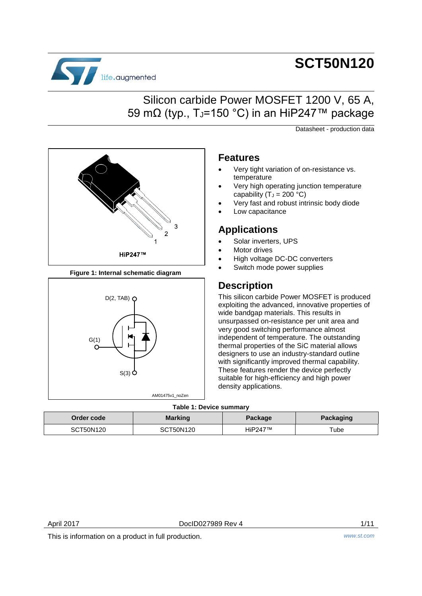

# **SCT50N120**

## Silicon carbide Power MOSFET 1200 V, 65 A, 59 mΩ (typ., TJ=150 °C) in an HiP247<sup>™</sup> package

Datasheet - production data



**Figure 1: Internal schematic diagram**



## **Features**

- Very tight variation of on-resistance vs. temperature
- Very high operating junction temperature capability  $(T_J = 200 °C)$
- Very fast and robust intrinsic body diode
- Low capacitance

## **Applications**

- Solar inverters, UPS
- Motor drives
- High voltage DC-DC converters
- Switch mode power supplies

## **Description**

This silicon carbide Power MOSFET is produced exploiting the advanced, innovative properties of wide bandgap materials. This results in unsurpassed on-resistance per unit area and very good switching performance almost independent of temperature. The outstanding thermal properties of the SiC material allows designers to use an industry-standard outline with significantly improved thermal capability. These features render the device perfectly suitable for high-efficiency and high power density applications.

### **Table 1: Device summary**

| Order code | Marking   | Package | <b>Packaging</b> |
|------------|-----------|---------|------------------|
| SCT50N120  | SCT50N120 | HiP247™ | Tube             |

This is information on a product in full production. *www.st.com*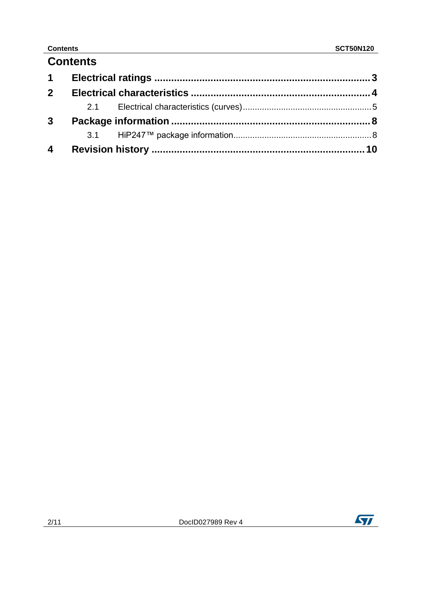## **Contents**

| $2^{\circ}$ |  |  |
|-------------|--|--|
|             |  |  |
|             |  |  |
|             |  |  |
|             |  |  |

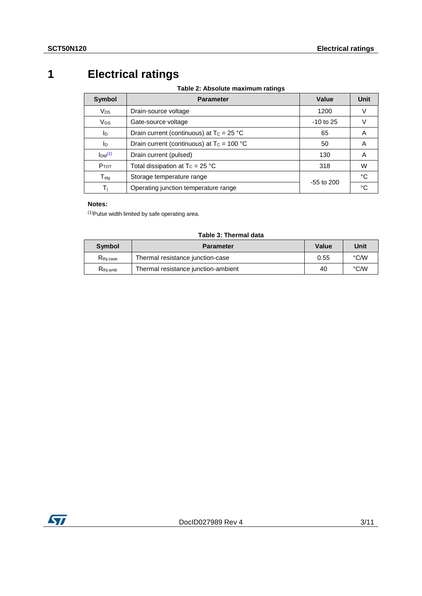## **1 Electrical ratings**

**Table 2: Absolute maximum ratings**

<span id="page-2-0"></span>

| Symbol                      | <b>Parameter</b>                             | Value        | Unit         |
|-----------------------------|----------------------------------------------|--------------|--------------|
| <b>V<sub>DS</sub></b>       | Drain-source voltage                         | 1200         | V            |
| VGS                         | Gate-source voltage                          | $-10$ to 25  |              |
| ID                          | Drain current (continuous) at $T_c = 25 °C$  | 65           | A            |
| ID                          | Drain current (continuous) at $T_c = 100 °C$ | 50           | A            |
| Im(1)                       | Drain current (pulsed)                       | 130          | A            |
| $P$ <sub>TOT</sub>          | Total dissipation at $T_c = 25 °C$           | 318          | W            |
| $\mathsf{T}_{\mathsf{stq}}$ | Storage temperature range                    |              | °C           |
|                             | Operating junction temperature range         | $-55$ to 200 | $^{\circ}$ C |

#### **Notes:**

<span id="page-2-1"></span> $(1)$ Pulse width limited by safe operating area.

| <b>Symbol</b>         | <b>Parameter</b>                    | Value | Unit |
|-----------------------|-------------------------------------|-------|------|
| $R_{\text{thi-case}}$ | Thermal resistance junction-case    | 0.55  | °C/W |
| $Rthi-amb$            | Thermal resistance junction-ambient | 40    | °C/W |

#### **Table 3: Thermal data**

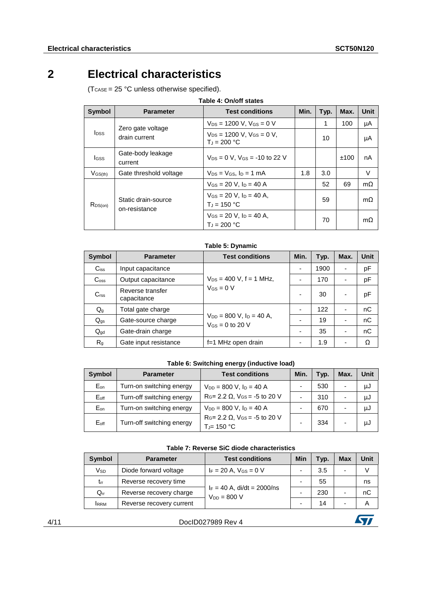## **2 Electrical characteristics**

<span id="page-3-0"></span> $(T_{\text{CASE}} = 25 \text{ °C}$  unless otherwise specified).

| Table 4: On/off states |                                      |                                                        |      |      |      |             |  |
|------------------------|--------------------------------------|--------------------------------------------------------|------|------|------|-------------|--|
| <b>Symbol</b>          | <b>Parameter</b>                     | <b>Test conditions</b>                                 | Min. | Typ. | Max. | <b>Unit</b> |  |
|                        | Zero gate voltage                    | $V_{DS} = 1200 V, V_{GS} = 0 V$                        |      | 1    | 100  | μA          |  |
| <b>I</b> pss           | drain current                        | $V_{DS}$ = 1200 V, $V_{GS}$ = 0 V,<br>$T_{d} = 200 °C$ |      | 10   |      | μA          |  |
| <b>I</b> GSS           | Gate-body leakage<br>current         | $V_{DS} = 0$ V, $V_{GS} = -10$ to 22 V                 |      |      | ±100 | nA          |  |
| $V$ GS(th)             | Gate threshold voltage               | $V_{DS} = V_{GS}$ , $I_D = 1$ mA                       | 1.8  | 3.0  |      | V           |  |
|                        |                                      | $V_{GS} = 20 V$ , $I_D = 40 A$                         |      | 52   | 69   | $m\Omega$   |  |
| $R_{DS(on)}$           | Static drain-source<br>on-resistance | $V_{GS}$ = 20 V, $I_D$ = 40 A,<br>$T_J = 150 °C$       |      | 59   |      | $m\Omega$   |  |
|                        |                                      | $V_{GS}$ = 20 V, $I_D$ = 40 A,<br>$T_{d} = 200 °C$     |      | 70   |      | $m\Omega$   |  |

### **Table 4: On/off states**

#### **Table 5: Dynamic**

| <b>Symbol</b>      | <b>Parameter</b>                | <b>Test conditions</b>                                | Min. | Typ. | Max.                     | Unit |
|--------------------|---------------------------------|-------------------------------------------------------|------|------|--------------------------|------|
| $C$ <sub>iss</sub> | Input capacitance               |                                                       |      | 1900 | ٠                        | pF   |
| C <sub>oss</sub>   | Output capacitance              | $V_{DS}$ = 400 V, f = 1 MHz,<br>$V$ Gs = 0 V          |      | 170  | ٠                        | pF   |
| C <sub>rss</sub>   | Reverse transfer<br>capacitance |                                                       |      | 30   | ۰                        | pF   |
| $Q_{g}$            | Total gate charge               | $V_{DD} = 800$ V, $I_D = 40$ A,<br>$V$ Gs = 0 to 20 V |      | 122  | ٠                        | nC   |
| $Q_{gs}$           | Gate-source charge              |                                                       |      | 19   | $\overline{\phantom{0}}$ | nC   |
| $Q_{gd}$           | Gate-drain charge               |                                                       |      | 35   | $\overline{\phantom{0}}$ | nC   |
| $R_g$              | Gate input resistance           | f=1 MHz open drain                                    |      | 1.9  | ٠                        | Ω    |

#### **Table 6: Switching energy (inductive load)**

| <b>Symbol</b>    | <b>Parameter</b>          | <b>Test conditions</b>                                           | Min. | Typ. | Max. | <b>Unit</b> |
|------------------|---------------------------|------------------------------------------------------------------|------|------|------|-------------|
| $E_{on}$         | Turn-on switching energy  | $V_{DD} = 800$ V, $I_D = 40$ A                                   |      | 530  | ٠    | μJ          |
| $E_{\text{off}}$ | Turn-off switching energy | $R_G$ = 2.2 $\Omega$ , $V_{GS}$ = -5 to 20 V                     |      | 310  | ٠    | μJ          |
| $E_{on}$         | Turn-on switching energy  | $V_{DD} = 800$ V, $I_D = 40$ A                                   |      | 670  | ٠    | μJ          |
| $E_{\text{off}}$ | Turn-off switching energy | $R_G$ = 2.2 $\Omega$ , $V_{GS}$ = -5 to 20 V<br>$T_{J}$ = 150 °C |      | 334  | ۰    | μJ          |

#### **Table 7: Reverse SiC diode characteristics**

<span id="page-3-1"></span>

| <b>Symbol</b> | <b>Parameter</b>         | <b>Test conditions</b>                            | Min | Typ. | <b>Max</b>               | Unit |
|---------------|--------------------------|---------------------------------------------------|-----|------|--------------------------|------|
| Vsd           | Diode forward voltage    | $I_F = 20 A$ , $V_{GS} = 0 V$                     |     | 3.5  | -                        |      |
| trr           | Reverse recovery time    |                                                   |     | 55   |                          | ns   |
| $Q_{rr}$      | Reverse recovery charge  | $I_F = 40$ A, di/dt = 2000/ns<br>$V_{DD} = 800 V$ |     | 230  | $\overline{\phantom{0}}$ | nС   |
| <b>IRRM</b>   | Reverse recovery current |                                                   |     | 14   | $\overline{\phantom{0}}$ | A    |

| 4/11 | DocID027989 Rev 4 |
|------|-------------------|

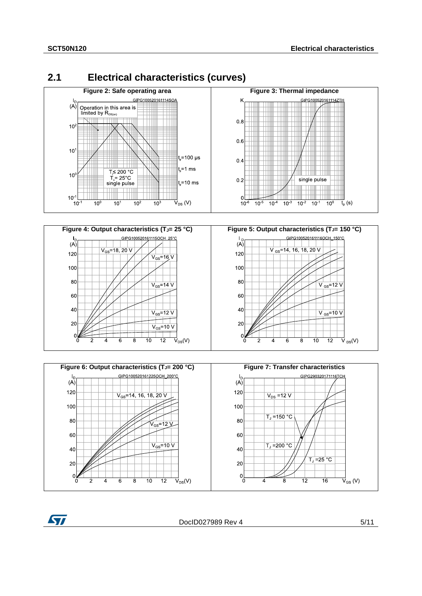ST

## <span id="page-4-0"></span>**2.1 Electrical characteristics (curves)**







<span id="page-4-1"></span>DocID027989 Rev 4 5/11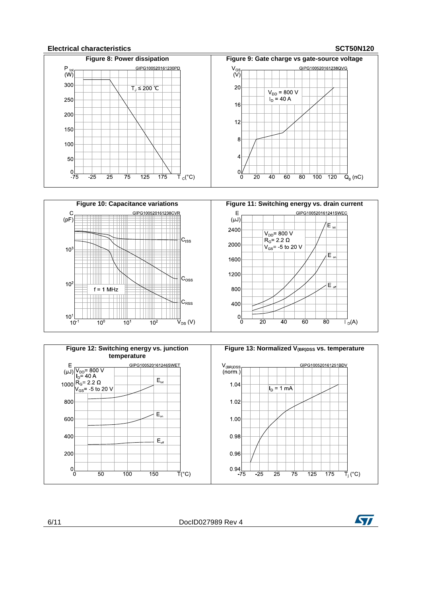#### **Electrical characteristics SCT50N120**







6/11 DocID027989 Rev 4

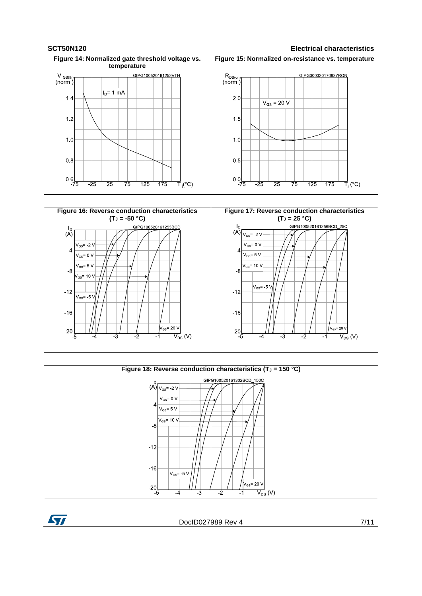ST

#### <span id="page-6-0"></span>**SCT50N120 Electrical characteristics**



<span id="page-6-2"></span><span id="page-6-1"></span>

<span id="page-6-3"></span>

DocID027989 Rev 4 7/11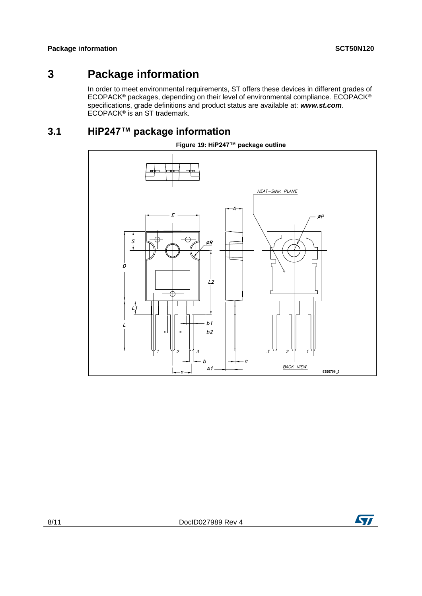## **3 Package information**

<span id="page-7-0"></span>In order to meet environmental requirements, ST offers these devices in different grades of ECOPACK® packages, depending on their level of environmental compliance. ECOPACK® specifications, grade definitions and product status are available at: *www.st.com*. ECOPACK<sup>®</sup> is an ST trademark.

## **3.1 HiP247™ package information**

<span id="page-7-1"></span>

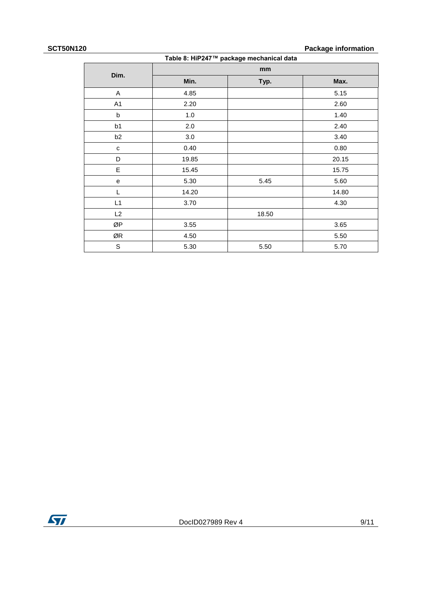### **SCT50N120 Package information**

| Table 8: HiP247™ package mechanical data |       |       |       |  |
|------------------------------------------|-------|-------|-------|--|
|                                          |       | mm    |       |  |
| Dim.                                     | Min.  | Typ.  | Max.  |  |
| A                                        | 4.85  |       | 5.15  |  |
| A1                                       | 2.20  |       | 2.60  |  |
| b                                        | 1.0   |       | 1.40  |  |
| b <sub>1</sub>                           | 2.0   |       | 2.40  |  |
| b2                                       | 3.0   |       | 3.40  |  |
| $\mathbf c$                              | 0.40  |       | 0.80  |  |
| D                                        | 19.85 |       | 20.15 |  |
| E                                        | 15.45 |       | 15.75 |  |
| e                                        | 5.30  | 5.45  | 5.60  |  |
| L                                        | 14.20 |       | 14.80 |  |
| L1                                       | 3.70  |       | 4.30  |  |
| L2                                       |       | 18.50 |       |  |
| ØP                                       | 3.55  |       | 3.65  |  |
| ØR                                       | 4.50  |       | 5.50  |  |
| $\mathsf S$                              | 5.30  | 5.50  | 5.70  |  |

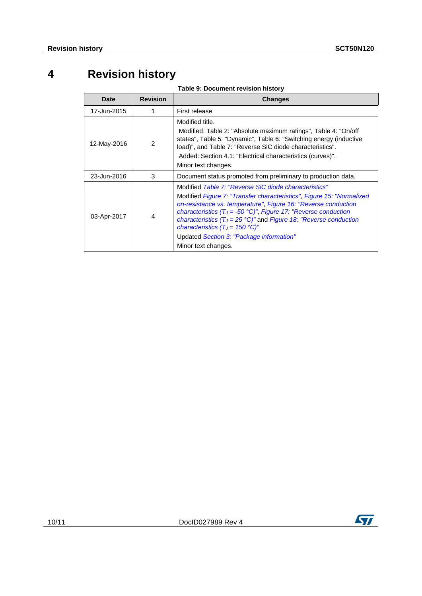## **4 Revision history**

**Table 9: Document revision history**

<span id="page-9-0"></span>

| <b>Date</b> | <b>Revision</b> | <b>Changes</b>                                                                                                                                                                                                                                                                                                                                                                                                                                                                               |
|-------------|-----------------|----------------------------------------------------------------------------------------------------------------------------------------------------------------------------------------------------------------------------------------------------------------------------------------------------------------------------------------------------------------------------------------------------------------------------------------------------------------------------------------------|
| 17-Jun-2015 | 1               | First release                                                                                                                                                                                                                                                                                                                                                                                                                                                                                |
| 12-May-2016 | 2               | Modified title.<br>Modified: Table 2: "Absolute maximum ratings", Table 4: "On/off<br>states", Table 5: "Dynamic", Table 6: "Switching energy (inductive<br>load)", and Table 7: "Reverse SiC diode characteristics".<br>Added: Section 4.1: "Electrical characteristics (curves)".<br>Minor text changes.                                                                                                                                                                                   |
| 23-Jun-2016 | 3               | Document status promoted from preliminary to production data.                                                                                                                                                                                                                                                                                                                                                                                                                                |
| 03-Apr-2017 | 4               | Modified Table 7: "Reverse SiC diode characteristics"<br>Modified Figure 7: "Transfer characteristics", Figure 15: "Normalized<br>on-resistance vs. temperature", Figure 16: "Reverse conduction<br>characteristics $(T_J = -50 \degree C)$ ", Figure 17: "Reverse conduction<br><i>characteristics</i> $(T_J = 25 \degree C)^n$ and <i>Figure 18: "Reverse conduction</i><br>characteristics $(T_J = 150 \degree C)^{n}$<br>Updated Section 3: "Package information"<br>Minor text changes. |